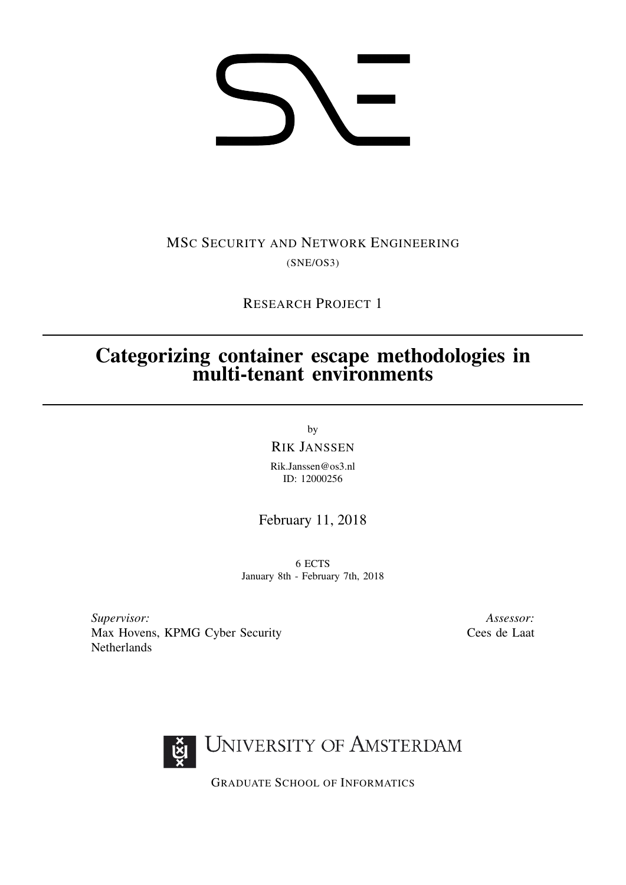# 

## MSC SECURITY AND NETWORK ENGINEERING (SNE/OS3)

RESEARCH PROJECT 1

# Categorizing container escape methodologies in multi-tenant environments

by

RIK JANSSEN

Rik.Janssen@os3.nl ID: 12000256

### February 11, 2018

6 ECTS January 8th - February 7th, 2018

*Supervisor:* Max Hovens, KPMG Cyber Security Netherlands

*Assessor:* Cees de Laat



GRADUATE SCHOOL OF INFORMATICS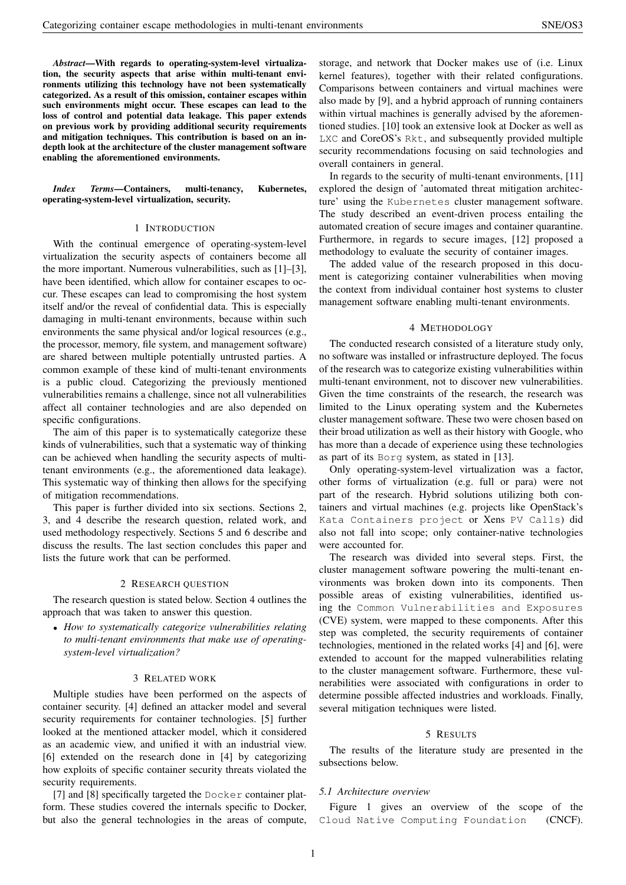*Abstract*—With regards to operating-system-level virtualization, the security aspects that arise within multi-tenant environments utilizing this technology have not been systematically categorized. As a result of this omission, container escapes within such environments might occur. These escapes can lead to the loss of control and potential data leakage. This paper extends on previous work by providing additional security requirements and mitigation techniques. This contribution is based on an indepth look at the architecture of the cluster management software enabling the aforementioned environments.

#### *Index Terms*—Containers, multi-tenancy, Kubernetes, operating-system-level virtualization, security.

#### 1 INTRODUCTION

With the continual emergence of operating-system-level virtualization the security aspects of containers become all the more important. Numerous vulnerabilities, such as [\[1\]](#page-3-0)–[\[3\]](#page-3-1), have been identified, which allow for container escapes to occur. These escapes can lead to compromising the host system itself and/or the reveal of confidential data. This is especially damaging in multi-tenant environments, because within such environments the same physical and/or logical resources (e.g., the processor, memory, file system, and management software) are shared between multiple potentially untrusted parties. A common example of these kind of multi-tenant environments is a public cloud. Categorizing the previously mentioned vulnerabilities remains a challenge, since not all vulnerabilities affect all container technologies and are also depended on specific configurations.

The aim of this paper is to systematically categorize these kinds of vulnerabilities, such that a systematic way of thinking can be achieved when handling the security aspects of multitenant environments (e.g., the aforementioned data leakage). This systematic way of thinking then allows for the specifying of mitigation recommendations.

This paper is further divided into six sections. Sections [2,](#page-1-0) [3,](#page-1-1) and [4](#page-1-2) describe the research question, related work, and used methodology respectively. Sections [5](#page-1-3) and [6](#page-3-2) describe and discuss the results. The [last section](#page-3-3) concludes this paper and lists the future work that can be performed.

#### 2 RESEARCH QUESTION

<span id="page-1-0"></span>The research question is stated below. Section [4](#page-1-2) outlines the approach that was taken to answer this question.

• *How to systematically categorize vulnerabilities relating to multi-tenant environments that make use of operatingsystem-level virtualization?*

#### 3 RELATED WORK

<span id="page-1-1"></span>Multiple studies have been performed on the aspects of container security. [\[4\]](#page-3-4) defined an attacker model and several security requirements for container technologies. [\[5\]](#page-3-5) further looked at the mentioned attacker model, which it considered as an academic view, and unified it with an industrial view. [\[6\]](#page-3-6) extended on the research done in [\[4\]](#page-3-4) by categorizing how exploits of specific container security threats violated the security requirements.

[\[7\]](#page-3-7) and [\[8\]](#page-3-8) specifically targeted the Docker container platform. These studies covered the internals specific to Docker, but also the general technologies in the areas of compute,

storage, and network that Docker makes use of (i.e. Linux kernel features), together with their related configurations. Comparisons between containers and virtual machines were also made by [\[9\]](#page-3-9), and a hybrid approach of running containers within virtual machines is generally advised by the aforementioned studies. [\[10\]](#page-3-10) took an extensive look at Docker as well as LXC and CoreOS's Rkt, and subsequently provided multiple security recommendations focusing on said technologies and overall containers in general.

In regards to the security of multi-tenant environments, [\[11\]](#page-4-0) explored the design of 'automated threat mitigation architecture' using the Kubernetes cluster management software. The study described an event-driven process entailing the automated creation of secure images and container quarantine. Furthermore, in regards to secure images, [\[12\]](#page-4-1) proposed a methodology to evaluate the security of container images.

The added value of the research proposed in this document is categorizing container vulnerabilities when moving the context from individual container host systems to cluster management software enabling multi-tenant environments.

#### 4 METHODOLOGY

<span id="page-1-2"></span>The conducted research consisted of a literature study only, no software was installed or infrastructure deployed. The focus of the research was to categorize existing vulnerabilities within multi-tenant environment, not to discover new vulnerabilities. Given the time constraints of the research, the research was limited to the Linux operating system and the Kubernetes cluster management software. These two were chosen based on their broad utilization as well as their history with Google, who has more than a decade of experience using these technologies as part of its Borg system, as stated in [\[13\]](#page-4-2).

Only operating-system-level virtualization was a factor, other forms of virtualization (e.g. full or para) were not part of the research. Hybrid solutions utilizing both containers and virtual machines (e.g. projects like OpenStack's Kata Containers project or Xens PV Calls) did also not fall into scope; only container-native technologies were accounted for.

The research was divided into several steps. First, the cluster management software powering the multi-tenant environments was broken down into its components. Then possible areas of existing vulnerabilities, identified using the Common Vulnerabilities and Exposures (CVE) system, were mapped to these components. After this step was completed, the security requirements of container technologies, mentioned in the related works [\[4\]](#page-3-4) and [\[6\]](#page-3-6), were extended to account for the mapped vulnerabilities relating to the cluster management software. Furthermore, these vulnerabilities were associated with configurations in order to determine possible affected industries and workloads. Finally, several mitigation techniques were listed.

#### 5 RESULTS

<span id="page-1-3"></span>The results of the literature study are presented in the subsections below.

#### *5.1 Architecture overview*

Figure [1](#page-2-0) gives an overview of the scope of the Cloud Native Computing Foundation (CNCF).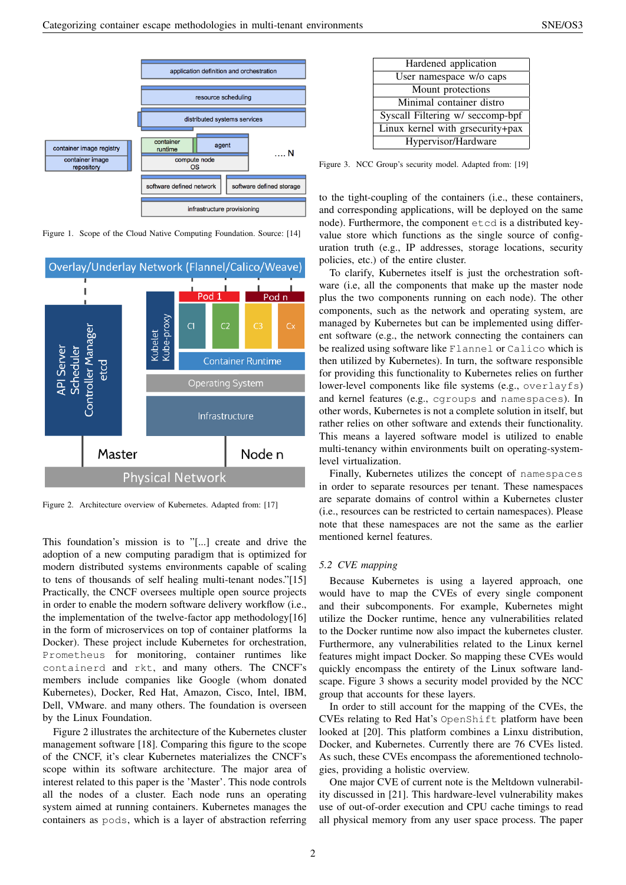

<span id="page-2-0"></span>Figure 1. Scope of the Cloud Native Computing Foundation. Source: [\[14\]](#page-4-3)



<span id="page-2-1"></span>Figure 2. Architecture overview of Kubernetes. Adapted from: [\[17\]](#page-4-4)

This foundation's mission is to "[...] create and drive the adoption of a new computing paradigm that is optimized for modern distributed systems environments capable of scaling to tens of thousands of self healing multi-tenant nodes."[\[15\]](#page-4-5) Practically, the CNCF oversees multiple open source projects in order to enable the modern software delivery workflow (i.e., the implementation of the twelve-factor app methodology[\[16\]](#page-4-6) in the form of microservices on top of container platforms la Docker). These project include Kubernetes for orchestration, Prometheus for monitoring, container runtimes like containerd and rkt, and many others. The CNCF's members include companies like Google (whom donated Kubernetes), Docker, Red Hat, Amazon, Cisco, Intel, IBM, Dell, VMware. and many others. The foundation is overseen by the Linux Foundation.

Figure [2](#page-2-1) illustrates the architecture of the Kubernetes cluster management software [\[18\]](#page-4-7). Comparing this figure to the scope of the CNCF, it's clear Kubernetes materializes the CNCF's scope within its software architecture. The major area of interest related to this paper is the 'Master'. This node controls all the nodes of a cluster. Each node runs an operating system aimed at running containers. Kubernetes manages the containers as pods, which is a layer of abstraction referring

| Hardened application             |
|----------------------------------|
| User namespace w/o caps          |
| Mount protections                |
| Minimal container distro         |
| Syscall Filtering w/ seccomp-bpf |
| Linux kernel with grsecurity+pax |
| Hypervisor/Hardware              |

<span id="page-2-2"></span>Figure 3. NCC Group's security model. Adapted from: [\[19\]](#page-4-8)

to the tight-coupling of the containers (i.e., these containers, and corresponding applications, will be deployed on the same node). Furthermore, the component etcd is a distributed keyvalue store which functions as the single source of configuration truth (e.g., IP addresses, storage locations, security policies, etc.) of the entire cluster.

To clarify, Kubernetes itself is just the orchestration software (i.e, all the components that make up the master node plus the two components running on each node). The other components, such as the network and operating system, are managed by Kubernetes but can be implemented using different software (e.g., the network connecting the containers can be realized using software like Flannel or Calico which is then utilized by Kubernetes). In turn, the software responsible for providing this functionality to Kubernetes relies on further lower-level components like file systems (e.g., overlayfs) and kernel features (e.g., cgroups and namespaces). In other words, Kubernetes is not a complete solution in itself, but rather relies on other software and extends their functionality. This means a layered software model is utilized to enable multi-tenancy within environments built on operating-systemlevel virtualization.

Finally, Kubernetes utilizes the concept of namespaces in order to separate resources per tenant. These namespaces are separate domains of control within a Kubernetes cluster (i.e., resources can be restricted to certain namespaces). Please note that these namespaces are not the same as the earlier mentioned kernel features.

#### *5.2 CVE mapping*

Because Kubernetes is using a layered approach, one would have to map the CVEs of every single component and their subcomponents. For example, Kubernetes might utilize the Docker runtime, hence any vulnerabilities related to the Docker runtime now also impact the kubernetes cluster. Furthermore, any vulnerabilities related to the Linux kernel features might impact Docker. So mapping these CVEs would quickly encompass the entirety of the Linux software landscape. Figure [3](#page-2-2) shows a security model provided by the NCC group that accounts for these layers.

In order to still account for the mapping of the CVEs, the CVEs relating to Red Hat's OpenShift platform have been looked at [\[20\]](#page-4-9). This platform combines a Linxu distribution, Docker, and Kubernetes. Currently there are 76 CVEs listed. As such, these CVEs encompass the aforementioned technologies, providing a holistic overview.

One major CVE of current note is the Meltdown vulnerability discussed in [\[21\]](#page-4-10). This hardware-level vulnerability makes use of out-of-order execution and CPU cache timings to read all physical memory from any user space process. The paper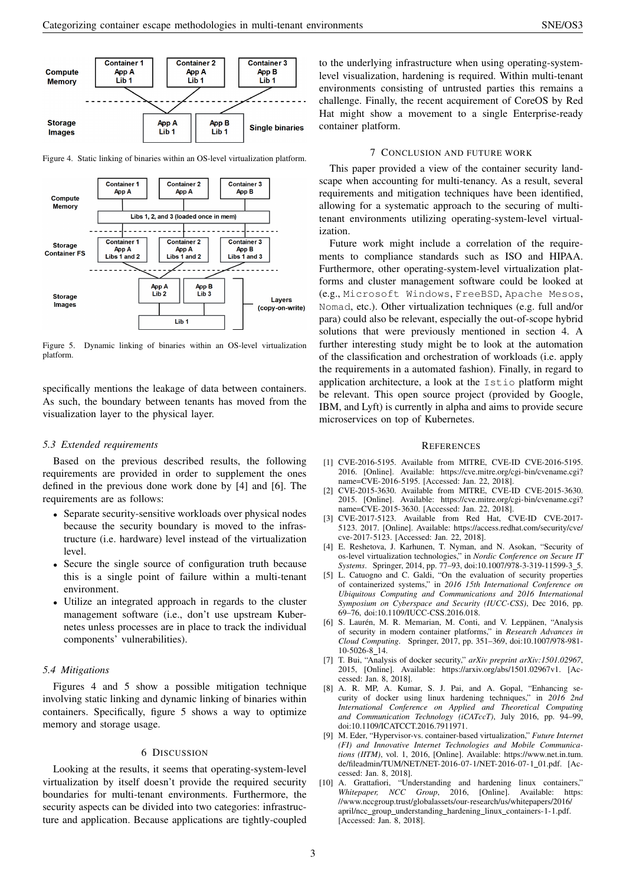

<span id="page-3-11"></span>Figure 4. Static linking of binaries within an OS-level virtualization platform.



<span id="page-3-12"></span>Figure 5. Dynamic linking of binaries within an OS-level virtualization platform.

specifically mentions the leakage of data between containers. As such, the boundary between tenants has moved from the visualization layer to the physical layer.

#### *5.3 Extended requirements*

Based on the previous described results, the following requirements are provided in order to supplement the ones defined in the previous done work done by [\[4\]](#page-3-4) and [\[6\]](#page-3-6). The requirements are as follows:

- Separate security-sensitive workloads over physical nodes because the security boundary is moved to the infrastructure (i.e. hardware) level instead of the virtualization level.
- Secure the single source of configuration truth because this is a single point of failure within a multi-tenant environment.
- Utilize an integrated approach in regards to the cluster management software (i.e., don't use upstream Kubernetes unless processes are in place to track the individual components' vulnerabilities).

#### *5.4 Mitigations*

Figures [4](#page-3-11) and [5](#page-3-12) show a possible mitigation technique involving static linking and dynamic linking of binaries within containers. Specifically, figure [5](#page-3-12) shows a way to optimize memory and storage usage.

#### 6 DISCUSSION

<span id="page-3-2"></span>Looking at the results, it seems that operating-system-level virtualization by itself doesn't provide the required security boundaries for multi-tenant environments. Furthermore, the security aspects can be divided into two categories: infrastructure and application. Because applications are tightly-coupled

to the underlying infrastructure when using operating-systemlevel visualization, hardening is required. Within multi-tenant environments consisting of untrusted parties this remains a challenge. Finally, the recent acquirement of CoreOS by Red Hat might show a movement to a single Enterprise-ready container platform.

#### 7 CONCLUSION AND FUTURE WORK

<span id="page-3-3"></span>This paper provided a view of the container security landscape when accounting for multi-tenancy. As a result, several requirements and mitigation techniques have been identified, allowing for a systematic approach to the securing of multitenant environments utilizing operating-system-level virtualization.

Future work might include a correlation of the requirements to compliance standards such as ISO and HIPAA. Furthermore, other operating-system-level virtualization platforms and cluster management software could be looked at (e.g., Microsoft Windows, FreeBSD, Apache Mesos, Nomad, etc.). Other virtualization techniques (e.g. full and/or para) could also be relevant, especially the out-of-scope hybrid solutions that were previously mentioned in section [4.](#page-1-2) A further interesting study might be to look at the automation of the classification and orchestration of workloads (i.e. apply the requirements in a automated fashion). Finally, in regard to application architecture, a look at the Istio platform might be relevant. This open source project (provided by Google, IBM, and Lyft) is currently in alpha and aims to provide secure microservices on top of Kubernetes.

#### **REFERENCES**

- <span id="page-3-0"></span>[1] CVE-2016-5195. Available from MITRE, CVE-ID CVE-2016-5195. 2016. [Online]. Available: [https://cve.mitre.org/cgi-bin/cvename.cgi?](https://cve.mitre.org/cgi-bin/cvename.cgi?name=CVE-2016-5195) [name=CVE-2016-5195.](https://cve.mitre.org/cgi-bin/cvename.cgi?name=CVE-2016-5195) [Accessed: Jan. 22, 2018].
- [2] CVE-2015-3630. Available from MITRE, CVE-ID CVE-2015-3630. 2015. [Online]. Available: [https://cve.mitre.org/cgi-bin/cvename.cgi?](https://cve.mitre.org/cgi-bin/cvename.cgi?name=CVE-2015-3630) [name=CVE-2015-3630.](https://cve.mitre.org/cgi-bin/cvename.cgi?name=CVE-2015-3630) [Accessed: Jan. 22, 2018].
- <span id="page-3-1"></span>[3] CVE-2017-5123. Available from Red Hat, CVE-ID CVE-2017- 5123. 2017. [Online]. Available: [https://access.redhat.com/security/cve/](https://access.redhat.com/security/cve/cve-2017-5123) [cve-2017-5123.](https://access.redhat.com/security/cve/cve-2017-5123) [Accessed: Jan. 22, 2018].
- <span id="page-3-4"></span>[4] E. Reshetova, J. Karhunen, T. Nyman, and N. Asokan, "Security of os-level virtualization technologies," in *Nordic Conference on Secure IT Systems*. Springer, 2014, pp. 77–93, doi[:10.1007/978-3-319-11599-3](https://doi.org/10.1007/978-3-319-11599-3_5) 5.
- <span id="page-3-5"></span>[5] L. Catuogno and C. Galdi, "On the evaluation of security properties of containerized systems," in *2016 15th International Conference on Ubiquitous Computing and Communications and 2016 International Symposium on Cyberspace and Security (IUCC-CSS)*, Dec 2016, pp. 69–76, doi[:10.1109/IUCC-CSS.2016.018.](https://doi.org/10.1109/IUCC-CSS.2016.018)
- <span id="page-3-6"></span>[6] S. Laurén, M. R. Memarian, M. Conti, and V. Leppänen, "Analysis of security in modern container platforms," in *Research Advances in Cloud Computing*. Springer, 2017, pp. 351–369, doi[:10.1007/978-981-](https://doi.org/10.1007/978-981-10-5026-8_14) [10-5026-8](https://doi.org/10.1007/978-981-10-5026-8_14) 14.
- <span id="page-3-7"></span>[7] T. Bui, "Analysis of docker security," *arXiv preprint arXiv:1501.02967*, 2015, [Online]. Available: [https://arxiv.org/abs/1501.02967v1.](https://arxiv.org/abs/1501.02967v1) [Accessed: Jan. 8, 2018].
- <span id="page-3-8"></span>[8] A. R. MP, A. Kumar, S. J. Pai, and A. Gopal, "Enhancing security of docker using linux hardening techniques," in *2016 2nd International Conference on Applied and Theoretical Computing and Communication Technology (iCATccT)*, July 2016, pp. 94–99, doi[:10.1109/ICATCCT.2016.7911971.](https://doi.org/10.1109/ICATCCT.2016.7911971)
- <span id="page-3-9"></span>[9] M. Eder, "Hypervisor-vs. container-based virtualization," *Future Internet (FI) and Innovative Internet Technologies and Mobile Communications (IITM)*, vol. 1, 2016, [Online]. Available: [https://www.net.in.tum.](https://www.net.in.tum.de/fileadmin/TUM/NET/NET-2016-07-1/NET-2016-07-1_01.pdf) [de/fileadmin/TUM/NET/NET-2016-07-1/NET-2016-07-1](https://www.net.in.tum.de/fileadmin/TUM/NET/NET-2016-07-1/NET-2016-07-1_01.pdf) 01.pdf. [Accessed: Jan. 8, 2018].
- <span id="page-3-10"></span>[10] A. Grattafiori, "Understanding and hardening linux containers," *Whitepaper, NCC Group*, 2016, [Online]. Available: [https:](https://www.nccgroup.trust/globalassets/our-research/us/whitepapers/2016/april/ncc_group_understanding_hardening_linux_containers-1-1.pdf) [//www.nccgroup.trust/globalassets/our-research/us/whitepapers/2016/](https://www.nccgroup.trust/globalassets/our-research/us/whitepapers/2016/april/ncc_group_understanding_hardening_linux_containers-1-1.pdf) april/ncc\_group\_understanding\_hardening\_linux\_[containers-1-1.pdf.](https://www.nccgroup.trust/globalassets/our-research/us/whitepapers/2016/april/ncc_group_understanding_hardening_linux_containers-1-1.pdf) [Accessed: Jan. 8, 2018].